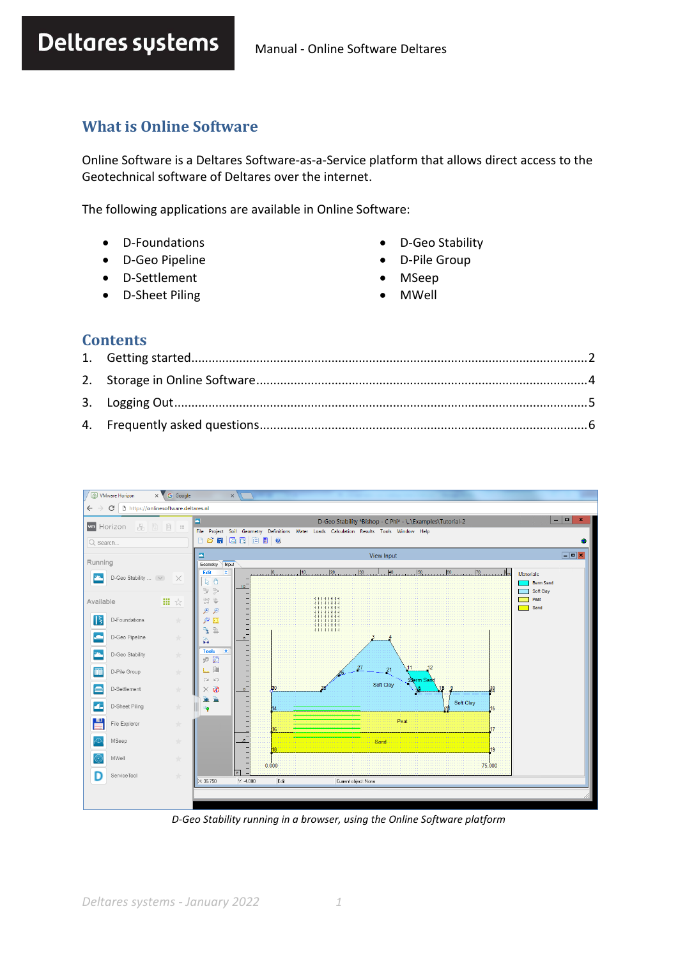# **What is Online Software**

Online Software is a Deltares Software-as-a-Service platform that allows direct access to the Geotechnical software of Deltares over the internet.

The following applications are available in Online Software:

- D-Foundations
- D-Geo Pipeline
- D-Settlement
- D-Sheet Piling
- D-Geo Stability
- D-Pile Group
- MSeep
- MWell

#### **Contents**



*D-Geo Stability running in a browser, using the Online Software platform*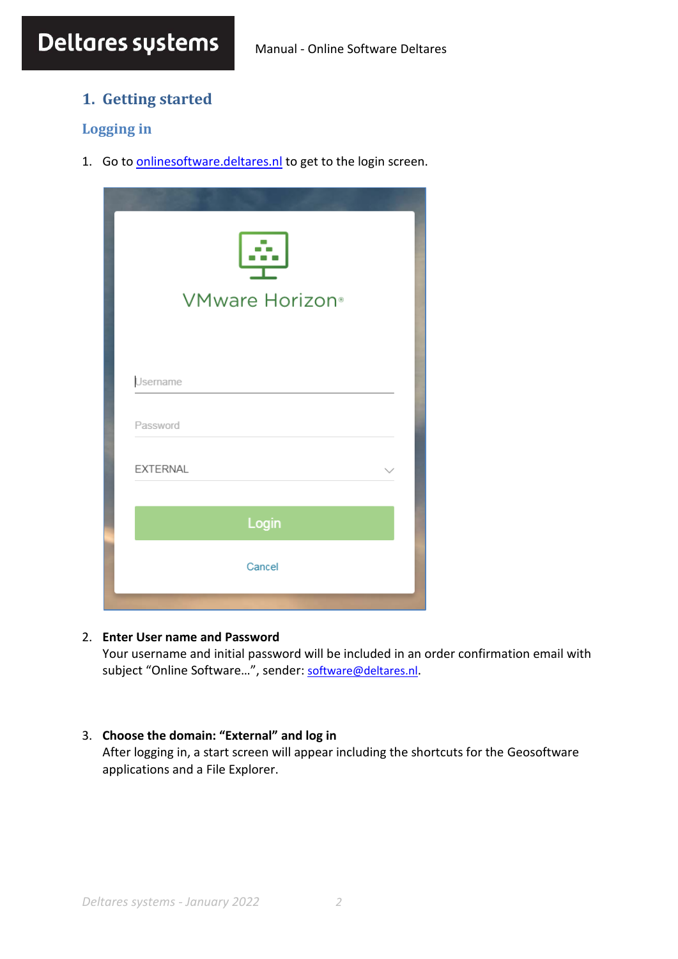# <span id="page-1-0"></span>**1. Getting started**

# **Logging in**

1. Go to **[onlinesoftware.deltares.nl](http://onlinesoftware.deltares.nl/)** to get to the login screen.

| a a s<br>VMware Horizon <sup>®</sup> |  |
|--------------------------------------|--|
| Username                             |  |
| Password                             |  |
| <b>EXTERNAL</b>                      |  |
| Login                                |  |
| Cancel                               |  |

#### 2. **Enter User name and Password**

Your username and initial password will be included in an order confirmation email with subject "Online Software...", sender: [software@deltares.nl](mailto:software@deltares.nl).

#### 3. **Choose the domain: "External" and log in**

After logging in, a start screen will appear including the shortcuts for the Geosoftware applications and a File Explorer.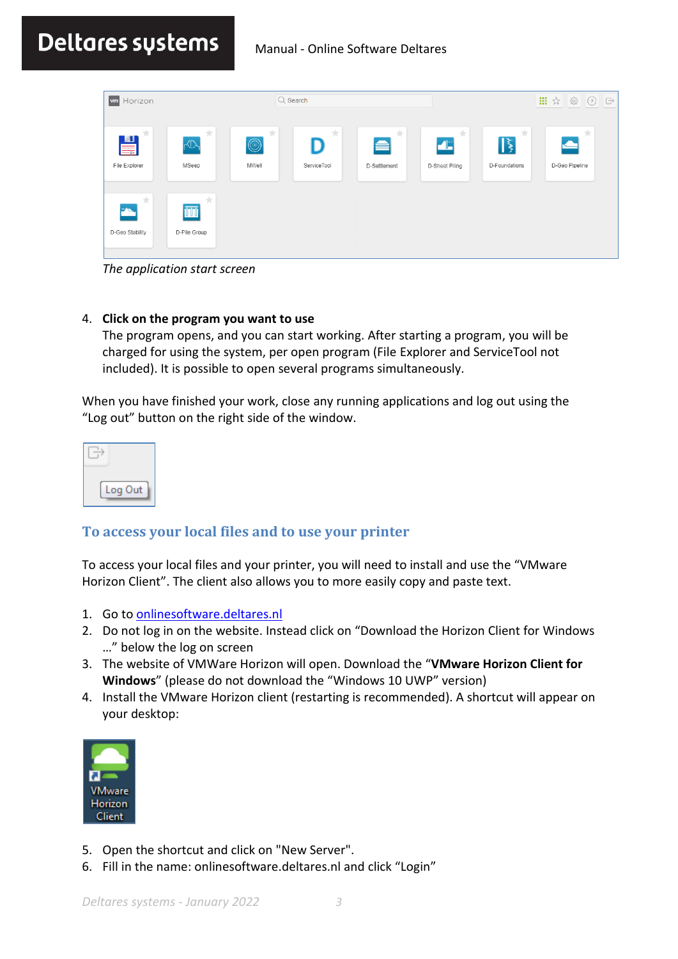# Deltares sustems Manual - Online Software Deltares

| <b>m</b> Horizon                      |                                       |                              | $Q$ Search       |                        |                                                          |                                    | 冊<br>ಕ್ಷಿತ್ತು<br>☆<br>$\circled{?}$ | $\overrightarrow{\Box}$ |
|---------------------------------------|---------------------------------------|------------------------------|------------------|------------------------|----------------------------------------------------------|------------------------------------|-------------------------------------|-------------------------|
| 大。<br>$\blacksquare$<br>File Explorer | 大<br>$\sqrt{D}$<br>MSeep              | ☆<br>$\circledcirc$<br>MWell | 大<br>ServiceTool | 大<br>e<br>D-Settlement | 大<br>$\blacktriangleleft$ $\mathbb{Z}$<br>D-Sheet Piling | 大<br>$\mathbb{R}$<br>D-Foundations | 大<br>D-Geo Pipeline                 |                         |
| 大<br>$\mathbf{F}$<br>D-Geo Stability  | $\frac{1}{ V }$<br>ΠŪ<br>D-Pile Group |                              |                  |                        |                                                          |                                    |                                     |                         |

*The application start screen*

#### 4. **Click on the program you want to use**

The program opens, and you can start working. After starting a program, you will be charged for using the system, per open program (File Explorer and ServiceTool not included). It is possible to open several programs simultaneously.

When you have finished your work, close any running applications and log out using the "Log out" button on the right side of the window.

| oq<br>Out |  |
|-----------|--|

# <span id="page-2-0"></span>**To access your local files and to use your printer**

To access your local files and your printer, you will need to install and use the "VMware Horizon Client". The client also allows you to more easily copy and paste text.

- 1. Go t[o onlinesoftware.deltares.nl](http://onlinesoftware.deltares.nl/)
- 2. Do not log in on the website. Instead click on "Download the Horizon Client for Windows …" below the log on screen
- 3. The website of VMWare Horizon will open. Download the "**VMware Horizon Client for Windows**" (please do not download the "Windows 10 UWP" version)
- 4. Install the VMware Horizon client (restarting is recommended). A shortcut will appear on your desktop:



- 5. Open the shortcut and click on "New Server".
- 6. Fill in the name: onlinesoftware.deltares.nl and click "Login"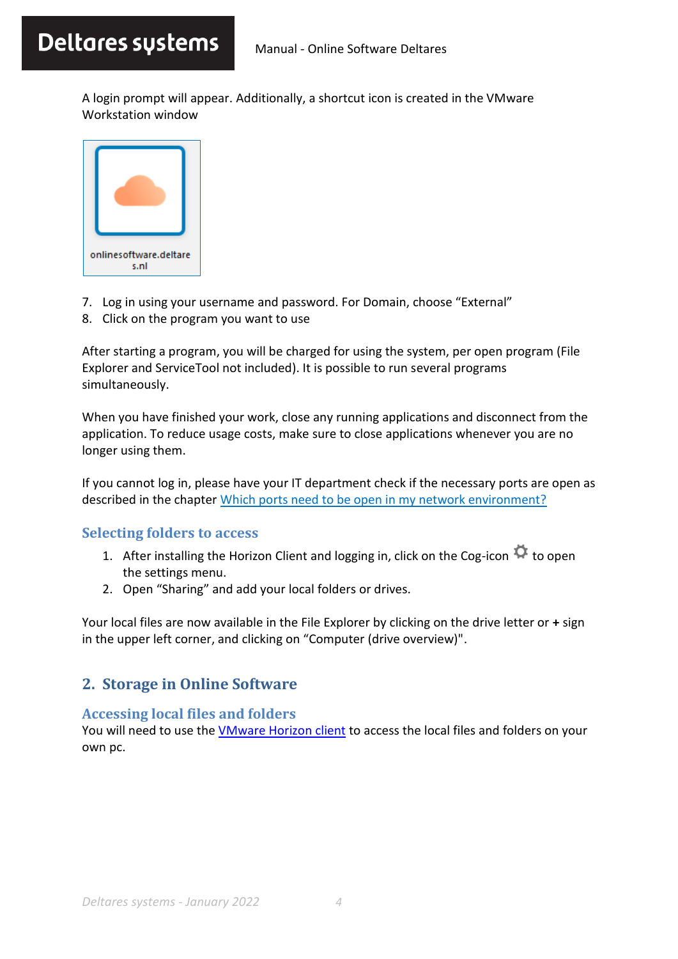A login prompt will appear. Additionally, a shortcut icon is created in the VMware Workstation window



- 7. Log in using your username and password. For Domain, choose "External"
- 8. Click on the program you want to use

After starting a program, you will be charged for using the system, per open program (File Explorer and ServiceTool not included). It is possible to run several programs simultaneously.

When you have finished your work, close any running applications and disconnect from the application. To reduce usage costs, make sure to close applications whenever you are no longer using them.

If you cannot log in, please have your IT department check if the necessary ports are open as described in the chapter [Which ports need to be open in my network environment?](#page-6-0)

## **Selecting folders to access**

- 1. After installing the Horizon Client and logging in, click on the Cog-icon  $\ddot{\mathbf{G}}$  to open the settings menu.
- 2. Open "Sharing" and add your local folders or drives.

Your local files are now available in the File Explorer by clicking on the drive letter or **+** sign in the upper left corner, and clicking on "Computer (drive overview)".

# <span id="page-3-0"></span>**2. Storage in Online Software**

## **Accessing local files and folders**

You will need to use the [VMware Horizon client](#page-2-0) to access the local files and folders on your own pc.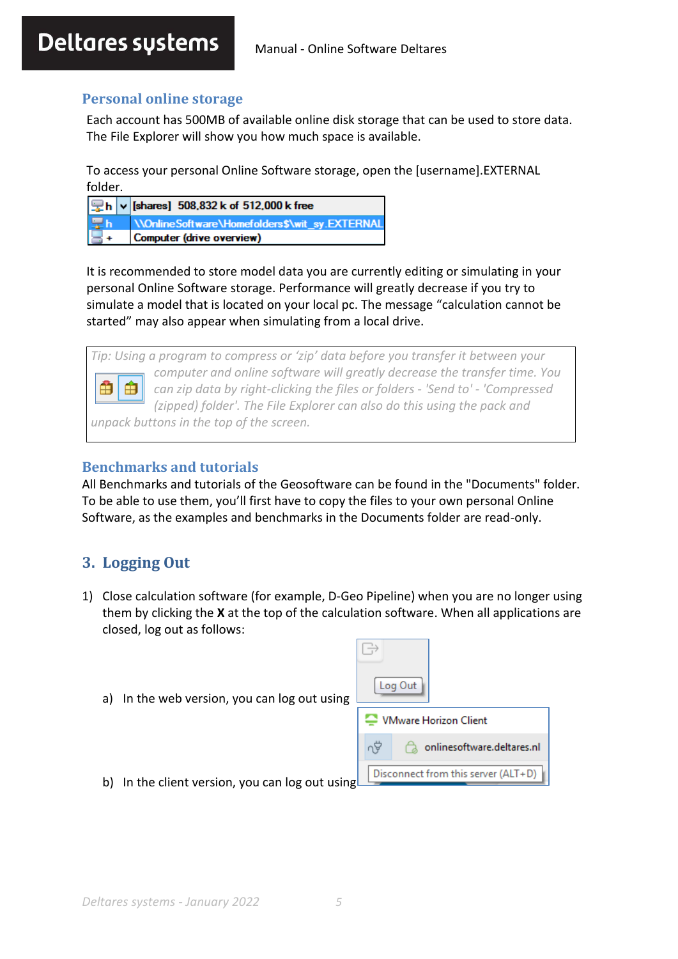# **Personal online storage**

Each account has 500MB of available online disk storage that can be used to store data. The File Explorer will show you how much space is available.

To access your personal Online Software storage, open the [username].EXTERNAL folder.

| $\boxed{\mathbf{Q}}$ h $\boxed{\mathbf{v}}$ [shares] 508,832 k of 512,000 k free |
|----------------------------------------------------------------------------------|
| <b>The WonlineSoftware\Homefolders\$\wit_sy.EXTERNAL</b>                         |
|                                                                                  |

It is recommended to store model data you are currently editing or simulating in your personal Online Software storage. Performance will greatly decrease if you try to simulate a model that is located on your local pc. The message "calculation cannot be started" may also appear when simulating from a local drive.

*Tip: Using a program to compress or 'zip' data before you transfer it between your computer and online software will greatly decrease the transfer time. You*  Ĥ Ĥ *can zip data by right-clicking the files or folders - 'Send to' - 'Compressed (zipped) folder'. The File Explorer can also do this using the pack and unpack buttons in the top of the screen.*

## **Benchmarks and tutorials**

All Benchmarks and tutorials of the Geosoftware can be found in the "Documents" folder. To be able to use them, you'll first have to copy the files to your own personal Online Software, as the examples and benchmarks in the Documents folder are read-only.

# <span id="page-4-0"></span>**3. Logging Out**

- 1) Close calculation software (for example, D-Geo Pipeline) when you are no longer using them by clicking the **X** at the top of the calculation software. When all applications are closed, log out as follows:
	- a) In the web version, you can log out using

|                                          | Log Out                      |  |  |  |
|------------------------------------------|------------------------------|--|--|--|
|                                          | <b>VMware Horizon Client</b> |  |  |  |
|                                          | onlinesoftware.deltares.nl   |  |  |  |
| Disconnect from this server (ALT+D)<br>ב |                              |  |  |  |

b) In the client version, you can log out using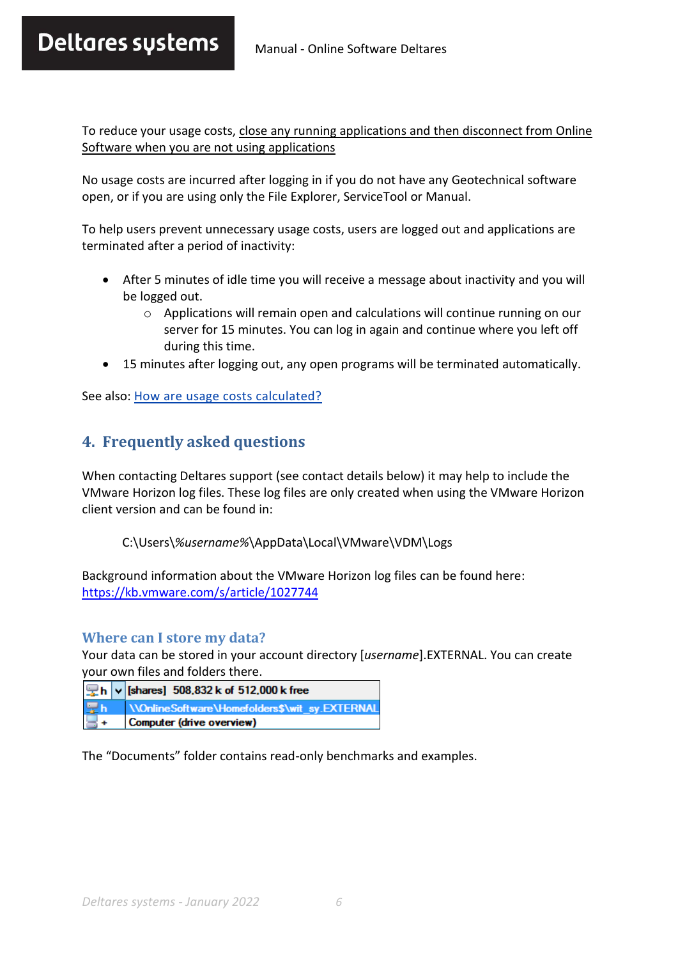# Deltares sustems Manual - Online Software Deltares

To reduce your usage costs, close any running applications and then disconnect from Online Software when you are not using applications

No usage costs are incurred after logging in if you do not have any Geotechnical software open, or if you are using only the File Explorer, ServiceTool or Manual.

To help users prevent unnecessary usage costs, users are logged out and applications are terminated after a period of inactivity:

- After 5 minutes of idle time you will receive a message about inactivity and you will be logged out.
	- $\circ$  Applications will remain open and calculations will continue running on our server for 15 minutes. You can log in again and continue where you left off during this time.
- 15 minutes after logging out, any open programs will be terminated automatically.

<span id="page-5-0"></span>See also[: How are usage costs calculated?](#page-8-0)

# **4. Frequently asked questions**

When contacting Deltares support (see contact details below) it may help to include the VMware Horizon log files. These log files are only created when using the VMware Horizon client version and can be found in:

C:\Users\*%username%*\AppData\Local\VMware\VDM\Logs

Background information about the VMware Horizon log files can be found here: <https://kb.vmware.com/s/article/1027744>

#### **Where can I store my data?**

Your data can be stored in your account directory [*username*].EXTERNAL. You can create your own files and folders there.

|       | Ph v [shares] 508,832 k of 512,000 k free      |
|-------|------------------------------------------------|
| l Sch | \\OnlineSoftware\Homefolders\$\wit_sy.EXTERNAL |
|       | Computer (drive overview)                      |

The "Documents" folder contains read-only benchmarks and examples.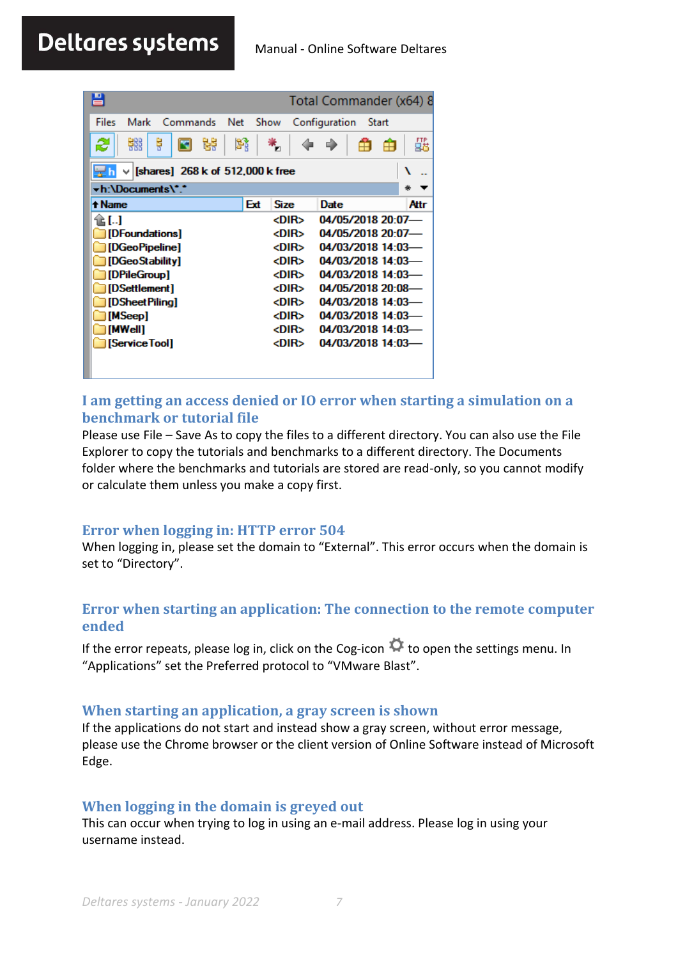<span id="page-6-0"></span>

| 昌                                           |     |             | Total Commander (x64) 8 |       |      |
|---------------------------------------------|-----|-------------|-------------------------|-------|------|
| Files<br>Mark<br>Commands<br>Net            |     | Show        | Configuration           | Start |      |
| 雛<br>ę<br>볆<br>æ                            | 鹠   |             |                         |       | 瓥    |
| [shares] 268 k of 512,000 k free<br>늦게<br>v |     |             |                         |       |      |
| -h:\Documents\*.*                           |     |             |                         |       | ∗    |
| + Name                                      | Ext | <b>Size</b> | Date                    |       | Attr |
| 11. I                                       |     | <dir></dir> | 04/05/2018 20:07-       |       |      |
| [DFoundations]                              |     | <dir></dir> | 04/05/2018 20:07-       |       |      |
| [DGeoPipeline]                              |     | <dir></dir> | 04/03/2018 14:03        |       |      |
| [DGeoStability]                             |     | <dir></dir> | 04/03/2018 14:03-       |       |      |
| [DPileGroup]                                |     | <dir></dir> | 04/03/2018 14:03-       |       |      |
| [DSettlement]                               |     | <dir></dir> | 04/05/2018 20:08-       |       |      |
| [DSheetPilina]                              |     | <dir></dir> | 04/03/2018 14:03        |       |      |
| [MSeep]                                     |     | <dir></dir> | 04/03/2018 14:03        |       |      |
| [MWell]                                     |     | <dir></dir> | 04/03/2018 14:03        |       |      |
| [Service Tool]                              |     | <dir></dir> | 04/03/2018 14:03-       |       |      |
|                                             |     |             |                         |       |      |

# **I am getting an access denied or IO error when starting a simulation on a benchmark or tutorial file**

Please use File – Save As to copy the files to a different directory. You can also use the File Explorer to copy the tutorials and benchmarks to a different directory. The Documents folder where the benchmarks and tutorials are stored are read-only, so you cannot modify or calculate them unless you make a copy first.

## **Error when logging in: HTTP error 504**

When logging in, please set the domain to "External". This error occurs when the domain is set to "Directory".

## **Error when starting an application: The connection to the remote computer ended**

If the error repeats, please log in, click on the Cog-icon  $\Phi$  to open the settings menu. In "Applications" set the Preferred protocol to "VMware Blast".

#### **When starting an application, a gray screen is shown**

If the applications do not start and instead show a gray screen, without error message, please use the Chrome browser or the client version of Online Software instead of Microsoft Edge.

## **When logging in the domain is greyed out**

This can occur when trying to log in using an e-mail address. Please log in using your username instead.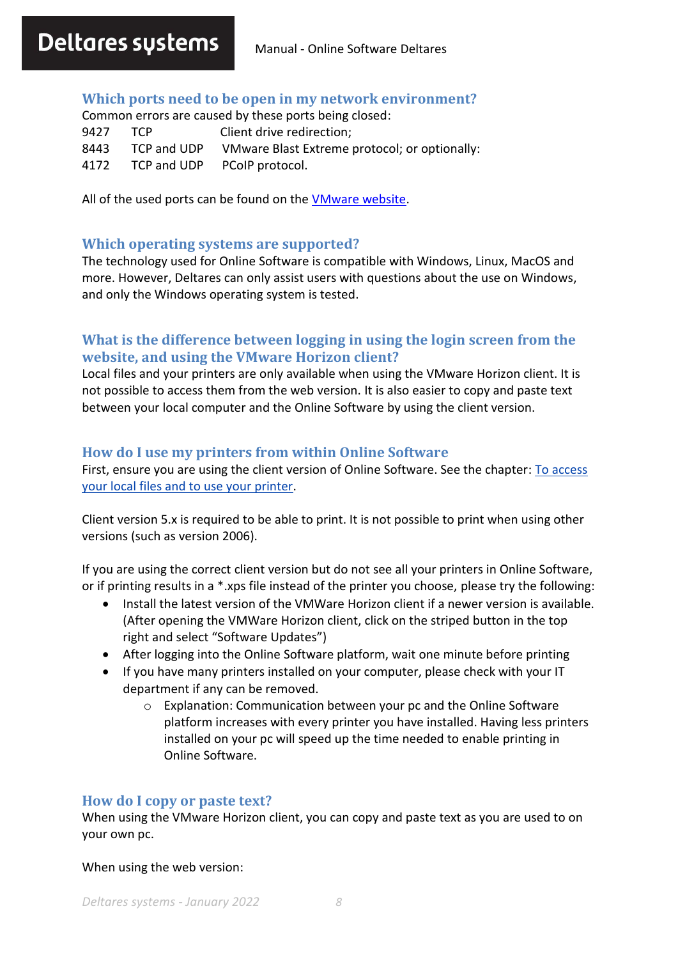#### **Which ports need to be open in my network environment?**

Common errors are caused by these ports being closed: 9427 TCP Client drive redirection; 8443 TCP and UDP VMware Blast Extreme protocol; or optionally: 4172 TCP and UDP PCoIP protocol.

All of the used ports can be found on the [VMware website.](https://docs.vmware.com/en/VMware-Horizon-7/7.1/com.vmware.horizon-client-agent.security.doc/GUID-52807839-6BB0-4727-A9C7-EA73DE61ADAB.html)

#### **Which operating systems are supported?**

The technology used for Online Software is compatible with Windows, Linux, MacOS and more. However, Deltares can only assist users with questions about the use on Windows, and only the Windows operating system is tested.

## **What is the difference between logging in using the login screen from the website, and using the VMware Horizon client?**

Local files and your printers are only available when using the VMware Horizon client. It is not possible to access them from the web version. It is also easier to copy and paste text between your local computer and the Online Software by using the client version.

#### **How do I use my printers from within Online Software**

First, ensure you are using the client version of Online Software. See the chapter: [To access](#page-2-0)  [your local files and to use your printer.](#page-2-0)

Client version 5.x is required to be able to print. It is not possible to print when using other versions (such as version 2006).

If you are using the correct client version but do not see all your printers in Online Software, or if printing results in a \*.xps file instead of the printer you choose, please try the following:

- Install the latest version of the VMWare Horizon client if a newer version is available. (After opening the VMWare Horizon client, click on the striped button in the top right and select "Software Updates")
- After logging into the Online Software platform, wait one minute before printing
- If you have many printers installed on your computer, please check with your IT department if any can be removed.
	- o Explanation: Communication between your pc and the Online Software platform increases with every printer you have installed. Having less printers installed on your pc will speed up the time needed to enable printing in Online Software.

#### **How do I copy or paste text?**

When using the VMware Horizon client, you can copy and paste text as you are used to on your own pc.

When using the web version: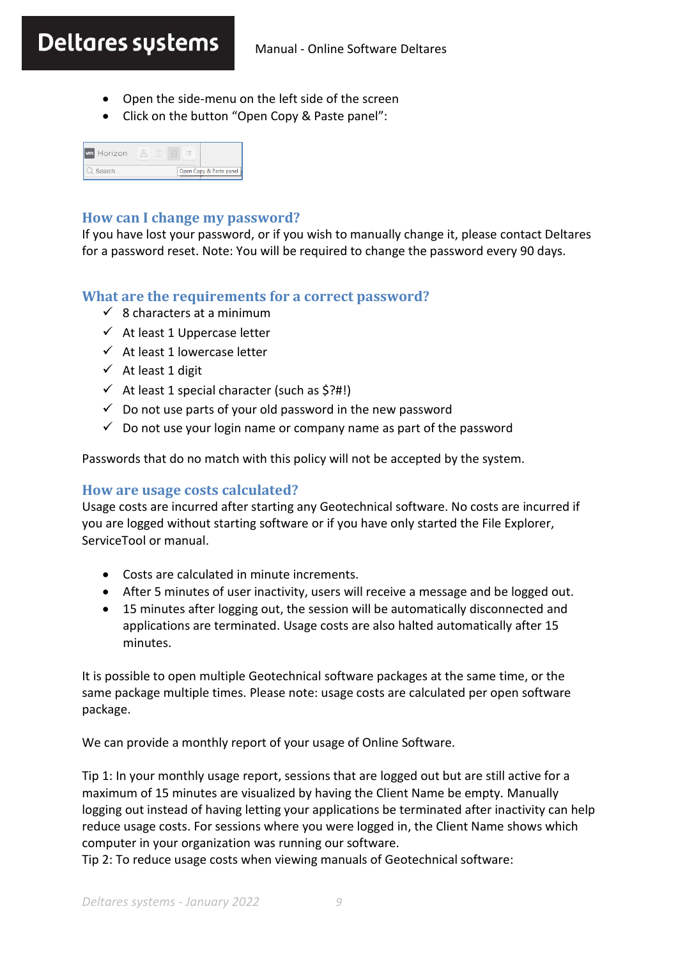- Open the side-menu on the left side of the screen
- Click on the button "Open Copy & Paste panel":

| <b>wm</b> Horizon | $\sim$ |                         |
|-------------------|--------|-------------------------|
| Search            |        | Open Copy & Paste panel |

#### **How can I change my password?**

If you have lost your password, or if you wish to manually change it, please contact Deltares for a password reset. Note: You will be required to change the password every 90 days.

#### **What are the requirements for a correct password?**

- $\checkmark$  8 characters at a minimum
- $\checkmark$  At least 1 Uppercase letter
- $\checkmark$  At least 1 lowercase letter
- ✓ At least 1 digit
- $\checkmark$  At least 1 special character (such as \$?#!)
- $\checkmark$  Do not use parts of your old password in the new password
- <span id="page-8-0"></span> $\checkmark$  Do not use your login name or company name as part of the password

Passwords that do no match with this policy will not be accepted by the system.

#### **How are usage costs calculated?**

Usage costs are incurred after starting any Geotechnical software. No costs are incurred if you are logged without starting software or if you have only started the File Explorer, ServiceTool or manual.

- Costs are calculated in minute increments.
- After 5 minutes of user inactivity, users will receive a message and be logged out.
- 15 minutes after logging out, the session will be automatically disconnected and applications are terminated. Usage costs are also halted automatically after 15 minutes.

It is possible to open multiple Geotechnical software packages at the same time, or the same package multiple times. Please note: usage costs are calculated per open software package.

We can provide a monthly report of your usage of Online Software.

Tip 1: In your monthly usage report, sessions that are logged out but are still active for a maximum of 15 minutes are visualized by having the Client Name be empty. Manually logging out instead of having letting your applications be terminated after inactivity can help reduce usage costs. For sessions where you were logged in, the Client Name shows which computer in your organization was running our software.

Tip 2: To reduce usage costs when viewing manuals of Geotechnical software: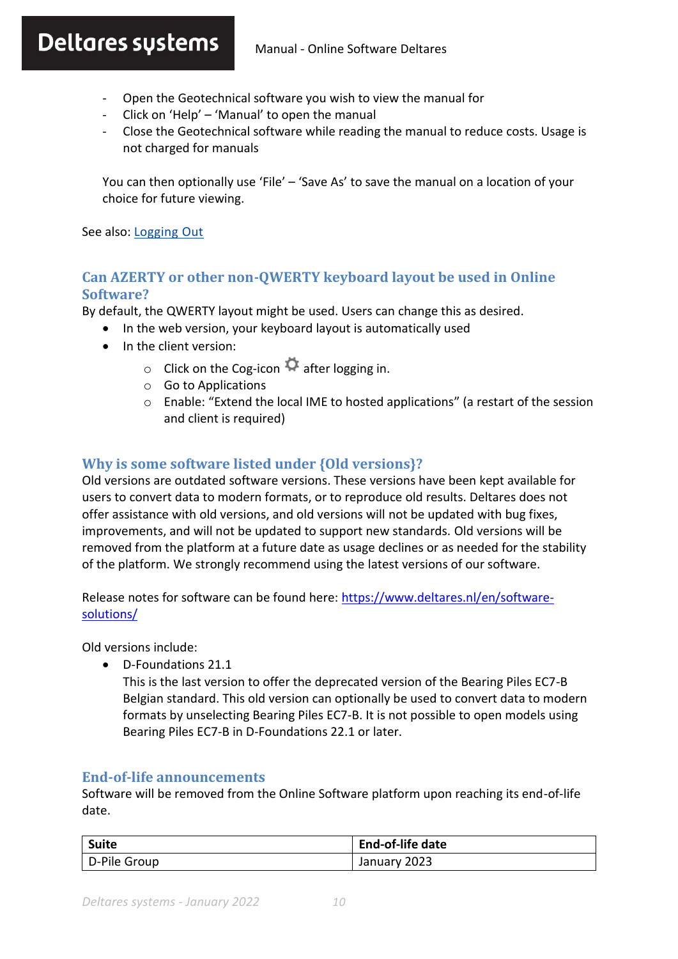# Deltares sustems Manual - Online Software Deltares

- Open the Geotechnical software you wish to view the manual for
- Click on 'Help' 'Manual' to open the manual
- Close the Geotechnical software while reading the manual to reduce costs. Usage is not charged for manuals

You can then optionally use 'File' – 'Save As' to save the manual on a location of your choice for future viewing.

See also[: Logging](#page-4-0) Out

# **Can AZERTY or other non-QWERTY keyboard layout be used in Online Software?**

By default, the QWERTY layout might be used. Users can change this as desired.

- In the web version, your keyboard layout is automatically used
- In the client version:
	- $\circ$  Click on the Cog-icon  $\bullet$  after logging in.
	- o Go to Applications
	- $\circ$  Enable: "Extend the local IME to hosted applications" (a restart of the session and client is required)

# **Why is some software listed under {Old versions}?**

Old versions are outdated software versions. These versions have been kept available for users to convert data to modern formats, or to reproduce old results. Deltares does not offer assistance with old versions, and old versions will not be updated with bug fixes, improvements, and will not be updated to support new standards. Old versions will be removed from the platform at a future date as usage declines or as needed for the stability of the platform. We strongly recommend using the latest versions of our software.

Release notes for software can be found here: [https://www.deltares.nl/en/software](https://www.deltares.nl/en/software-solutions/)[solutions/](https://www.deltares.nl/en/software-solutions/)

Old versions include:

• D-Foundations 21.1

This is the last version to offer the deprecated version of the Bearing Piles EC7-B Belgian standard. This old version can optionally be used to convert data to modern formats by unselecting Bearing Piles EC7-B. It is not possible to open models using Bearing Piles EC7-B in D-Foundations 22.1 or later.

## **End-of-life announcements**

Software will be removed from the Online Software platform upon reaching its end-of-life date.

| <b>Suite</b> | <b>End-of-life date</b> |
|--------------|-------------------------|
| D-Pile Group | January 2023            |